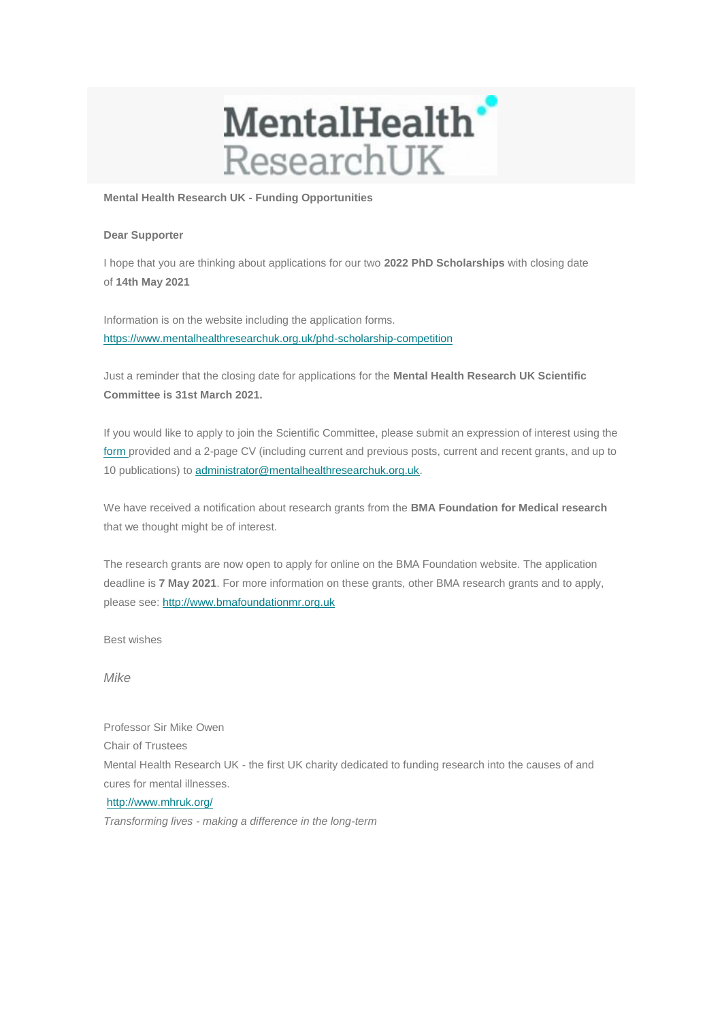

**Mental Health Research UK - Funding Opportunities**

## **Dear Supporter**

I hope that you are thinking about applications for our two **2022 PhD Scholarships** with closing date of **14th May 2021**

Information is on the website including the application forms. [https://www.mentalhealthresearchuk.org.uk/phd-scholarship-competition](https://mhruk.us3.list-manage.com/track/click?u=9f597992504bbc9467a09e2ad&id=a006feafed&e=653c95db77)

Just a reminder that the closing date for applications for the **Mental Health Research UK Scientific Committee is 31st March 2021.**

If you would like to apply to join the Scientific Committee, please submit an expression of interest using the [form p](https://mhruk.us3.list-manage.com/track/click?u=9f597992504bbc9467a09e2ad&id=4af9b55c48&e=653c95db77)rovided and a 2-page CV (including current and previous posts, current and recent grants, and up to 10 publications) to [administrator@mentalhealthresearchuk.org.uk.](mailto:administrator@mentalhealthresearchuk.org.uk)

We have received a notification about research grants from the **BMA Foundation for Medical research** that we thought might be of interest.

The research grants are now open to apply for online on the BMA Foundation website. The application deadline is **7 May 2021**. For more information on these grants, other BMA research grants and to apply, please see: [http://www.bmafoundationmr.org.uk](https://mhruk.us3.list-manage.com/track/click?u=9f597992504bbc9467a09e2ad&id=418b5a7176&e=653c95db77)

Best wishes

*Mike*

Professor Sir Mike Owen Chair of Trustees Mental Health Research UK - the first UK charity dedicated to funding research into the causes of and cures for mental illnesses. [http://www.mhruk.org/](https://mhruk.us3.list-manage.com/track/click?u=9f597992504bbc9467a09e2ad&id=3db5889964&e=653c95db77)  *Transforming lives - making a difference in the long-term*